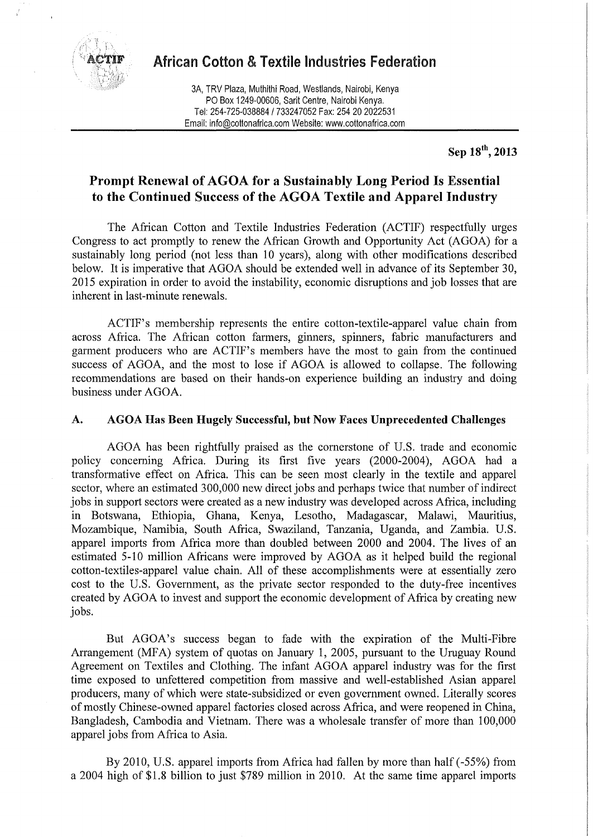

# **African Cotton & Textile Industries Federation**

3A, TRV Plaza, Muthithi Road, Westlands, Nairobi, Kenya PO Box 1249-00606, Sarit Centre, Nairobi Kenya. Tel: 254-725-038884 / 733247052 Fax: 254 20 2022531 Email: info@cottonafrica.com Website: www.cottonafrica.com

**Sep 18<sup>m</sup> , 2013** 

# **Prompt Renewal of AGOA for a Sustainably Long Period Is Essential to the Continued Success of the AGOA Textile and Apparel Industry**

The African Cotton and Textile Industries Federation (ACTIF) respectfully urges Congress to act promptly to renew the African Growth and Opportunity Act (AGOA) for a sustainably long period (not less than 10 years), along with other modifications described below. It is imperative that AGOA should be extended well in advance of its September 30, 2015 expiration in order to avoid the instability, economic disruptions and job losses that are inherent in last-minute renewals.

ACTIF's membership represents the entire cotton-textile-apparel value chain from across Africa. The African cotton farmers, ginners, spinners, fabric manufacturers and garment producers who are ACTIF's members have the most to gain from the continued success of AGOA, and the most to lose if AGOA is allowed to collapse. The following recommendations are based on their hands-on experience building an industry and doing business under AGOA.

#### **A. AGOA Has Been Hugely Successful, but Now Faces Unprecedented Challenges**

AGOA has been rightfully praised as the cornerstone of U.S. trade and economic policy concerning Africa. During its first five years (2000-2004), AGOA had a transformative effect on Africa. This can be seen most clearly in the textile and apparel sector, where an estimated 300,000 new direct jobs and perhaps twice that number of indirect jobs in support sectors were created as a new industry was developed across Africa, including in Botswana, Ethiopia, Ghana, Kenya, Lesotho, Madagascar, Malawi, Mauritius, Mozambique, Namibia, South Africa, Swaziland, Tanzania, Uganda, and Zambia. U.S. apparel imports from Africa more than doubled between 2000 and 2004. The lives of an estimated 5-10 million Africans were improved by AGOA as it helped build the regional cotton-textiles-apparel value chain. All of these accomplishments were at essentially zero cost to the U.S. Government, as the private sector responded to the duty-free incentives created by AGOA to invest and support the economic development of Africa by creating new jobs.

But AGOA's success began to fade with the expiration of the Multi-Fibre Arrangement (MFA) system of quotas on January 1, 2005, pursuant to the Uruguay Round Agreement on Textiles and Clothing. The infant AGOA apparel industry was for the first time exposed to unfettered competition from massive and well-established Asian apparel producers, many of which were state-subsidized or even government owned. Literally scores of mostly Chinese-owned apparel factories closed across Africa, and were reopened in China, Bangladesh, Cambodia and Vietnam. There was a wholesale transfer of more than 100,000 apparel jobs from Africa to Asia.

By 2010, U.S. apparel imports from Africa had fallen by more than half (-55%) from a 2004 high of \$1.8 billion to just \$789 million in 2010. At the same time apparel imports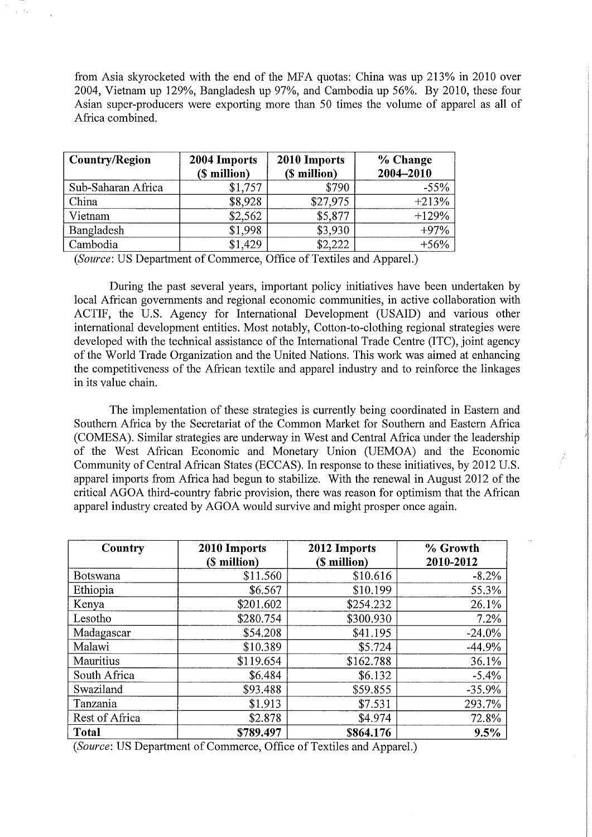from Asia skyrocketed with the end of the MFA quotas: China was up 213% in 2010 over 2004, Vietnam up 129%, Bangladesh up 97%, and Cambodia up 56%. By 2010, these four Asian super-producers were exporting more than 50 times the volume of apparel as all of Africa combined.

| <b>Country/Region</b> | 2004 Imports<br>(\$ million) | 2010 Imports<br>(\$ million) | % Change<br>2004-2010 |
|-----------------------|------------------------------|------------------------------|-----------------------|
| Sub-Saharan Africa    | \$1,757                      | \$790                        | $-55%$                |
| China                 | \$8,928                      | \$27,975                     | $+213%$               |
| Vietnam               | \$2,562                      | \$5,877                      | $+129%$               |
| Bangladesh            | \$1,998                      | \$3,930                      | $+97%$                |
| Cambodia              | \$1,429                      | \$2,222                      | $+56%$                |

*(Source:* US Department of Commerce, Office of Textiles and Apparel.)

During the past several years, important policy initiatives have been undertaken by local African governments and regional economic communities, in active collaboration with ACTIF, the U.S. Agency for International Development (USAID) and various other international development entities. Most notably, Cotton-to-clothing regional strategies were developed with the technical assistance of the International Trade Centre (ITC), joint agency of the World Trade Organization and the United Nations. This work was aimed at enhancing the competitiveness of the African textile and apparel industry and to reinforce the linkages in its value chain.

The implementation of these strategies is currently being coordinated in Eastern and Southern Africa by the Secretariat of the Common Market for Southern and Eastern Africa (COMESA). Similar strategies are underway in West and Central Africa under the leadership of the West African Economic and Monetary Union (UEMOA) and the Economic Community of Central African States (ECCAS). In response to these initiatives, by 2012 U.S. apparel imports from Africa had begun to stabilize. With the renewal in August 2012 of the critical AGOA third-country fabric provision, there was reason for optimism that the African apparel industry created by AGOA would survive and might prosper once again.

| Country        | 2010 Imports | 2012 Imports | % Growth  |
|----------------|--------------|--------------|-----------|
|                | (\$ million) | (\$ million) | 2010-2012 |
| Botswana       | \$11.560     | \$10.616     | $-8.2%$   |
| Ethiopia       | \$6.567      | \$10.199     | 55.3%     |
| Kenya          | \$201.602    | \$254.232    | 26.1%     |
| Lesotho        | \$280,754    | \$300.930    | 7.2%      |
| Madagascar     | \$54,208     | \$41.195     | $-24.0%$  |
| Malawi         | \$10.389     | \$5.724      | $-44.9%$  |
| Mauritius      | \$119.654    | \$162.788    | 36.1%     |
| South Africa   | \$6.484      | \$6.132      | $-5.4%$   |
| Swaziland      | \$93,488     | \$59.855     | $-35.9%$  |
| Tanzania       | \$1.913      | \$7.531      | 293.7%    |
| Rest of Africa | \$2.878      | \$4.974      | 72.8%     |
| <b>Total</b>   | \$789.497    | \$864.176    | 9.5%      |

*(Source:* US Department of Commerce, Office of Textiles and Apparel.)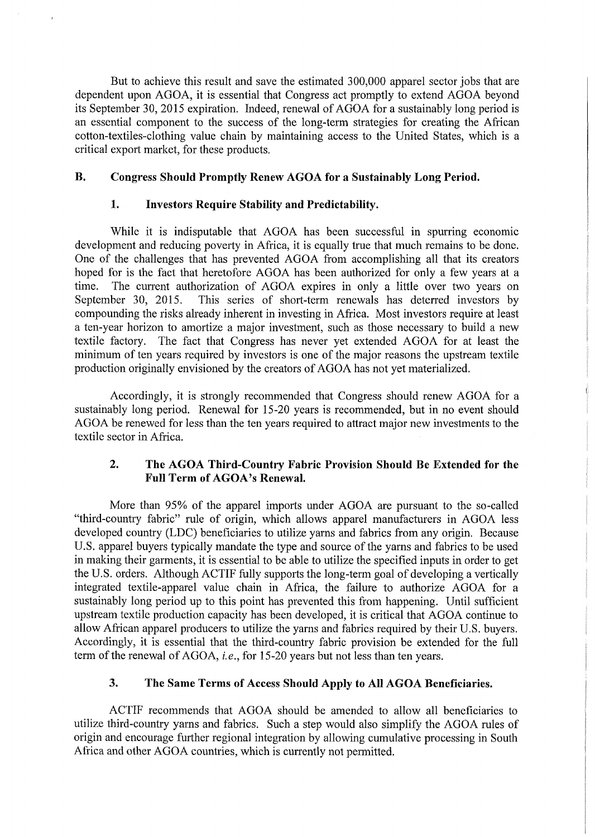But to achieve this result and save the estimated 300,000 apparel sector jobs that are dependent upon AGOA, it is essential that Congress act promptly to extend AGOA beyond its September 30, 2015 expiration. Indeed, renewal of AGOA for a sustainably long period is an essential component to the success of the long-term strategies for creating the African cotton-textiles-clothing value chain by maintaining access to the United States, which is a critical export market, for these products.

# **B. Congress Should Promptly Renew AGOA for a Sustainably Long Period.**

#### **1. Investors Require Stability and Predictability.**

While it is indisputable that AGOA has been successful in spurring economic development and reducing poverty in Africa, it is equally true that much remains to be done. One of the challenges that has prevented AGOA from accomplishing all that its creators hoped for is the fact that heretofore AGOA has been authorized for only a few years at a time. The current authorization of AGOA expires in only a little over two years on September 30, 2015. This series of short-term renewals has deterred investors by compounding the risks already inherent in investing in Africa. Most investors require at least a ten-year horizon to amortize a major investment, such as those necessary to build a new textile factory. The fact that Congress has never yet extended AGOA for at least the minimum of ten years required by investors is one of the major reasons the upstream textile production originally envisioned by the creators of AGOA has not yet materialized.

Accordingly, it is strongly recommended that Congress should renew AGOA for a sustainably long period. Renewal for 15-20 years is recommended, but in no event should AGOA be renewed for less than the ten years required to attract major new investments to the textile sector in Africa.

# **2. The AGOA Third-Country Fabric Provision Should Be Extended for the Full Term of AGOA's Renewal.**

More than 95% of the apparel imports under AGOA are pursuant to the so-called "third-country fabric" rule of origin, which allows apparel manufacturers in AGOA less developed country (LDC) beneficiaries to utilize yarns and fabrics from any origin. Because U.S. apparel buyers typically mandate the type and source of the yarns and fabrics to be used in making their garments, it is essential to be able to utilize the specified inputs in order to get the U.S. orders. Although ACTIF fully supports the long-term goal of developing a vertically integrated textile-apparel value chain in Africa, the failure to authorize AGOA for a sustainably long period up to this point has prevented this from happening. Until sufficient upstream textile production capacity has been developed, it is critical that AGOA continue to allow African apparel producers to utilize the yarns and fabrics required by their U.S. buyers. Accordingly, it is essential that the third-country fabric provision be extended for the full term of the renewal of AGOA, *i.e.,* for 15-20 years but not less than ten years.

#### **3. The Same Terms of Access Should Apply to All AGOA Beneficiaries.**

ACTIF recommends that AGOA should be amended to allow all beneficiaries to utilize third-country yarns and fabrics. Such a step would also simplify the AGOA rules of origin and encourage further regional integration by allowing cumulative processing in South Africa and other AGOA countries, which is currently not permitted.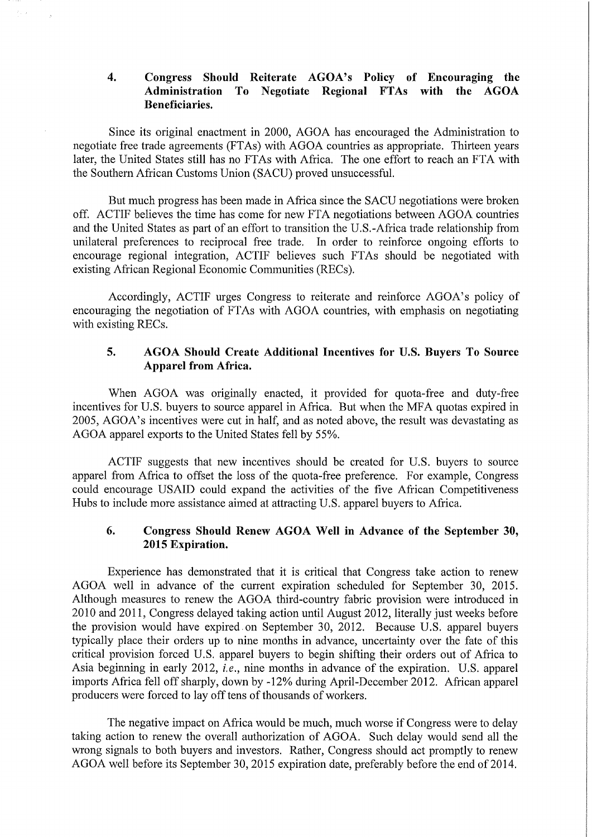### **4. Congress Should Reiterate AGOA's Policy of Encouraging the Administration To Negotiate Regional FTAs with the AGOA Beneficiaries.**

Since its original enactment in 2000, AGOA has encouraged the Administration to negotiate free trade agreements (FTAs) with AGOA countries as appropriate. Thirteen years later, the United States still has no FTAs with Africa. The one effort to reach an FTA with the Southern African Customs Union (SACU) proved unsuccessful.

But much progress has been made in Africa since the SACU negotiations were broken off. ACTIF believes the time has come for new FTA negotiations between AGOA countries and the United States as part of an effort to transition the U.S.-Africa trade relationship from unilateral preferences to reciprocal free trade. In order to reinforce ongoing efforts to encourage regional integration, ACTIF believes such FTAs should be negotiated with existing African Regional Economic Communities (RECs).

Accordingly, ACTIF urges Congress to reiterate and reinforce AGOA's policy of encouraging the negotiation of FTAs with AGOA countries, with emphasis on negotiating with existing RECs.

#### **5. AGOA Should Create Additional Incentives for U.S. Buyers To Source Apparel from Africa.**

When AGOA was originally enacted, it provided for quota-free and duty-free incentives for U.S. buyers to source apparel in Africa. But when the MFA quotas expired in 2005, AGOA's incentives were cut in half, and as noted above, the result was devastating as AGOA apparel exports to the United States fell by 55%.

ACTIF suggests that new incentives should be created for U.S. buyers to source apparel from Africa to offset the loss of the quota-free preference. For example, Congress could encourage USAID could expand the activities of the five African Competitiveness Hubs to include more assistance aimed at attracting U.S. apparel buyers to Africa.

#### **6. Congress Should Renew AGOA Well in Advance of the September 30, 2015 Expiration.**

Experience has demonstrated that it is critical that Congress take action to renew AGOA well in advance of the current expiration scheduled for September 30, 2015. Although measures to renew the AGOA third-country fabric provision were introduced in 2010 and 2011, Congress delayed taking action until August 2012, literally just weeks before the provision would have expired.on September 30, 2012. Because U.S. apparel buyers typically place their orders up to nine months in advance, uncertainty over the fate of this critical provision forced U.S. apparel buyers to begin shifting their orders out of Africa to Asia beginning in early 2012, *i.e.,* nine months in advance of the expiration. U.S. apparel imports Africa fell off sharply, down by -12% during April-December 2012. African apparel producers were forced to lay off tens of thousands of workers.

The negative impact on Africa would be much, much worse if Congress were to delay taking action to renew the overall authorization of AGOA. Such delay would send all the wrong signals to both buyers and investors. Rather, Congress should act promptly to renew AGOA well before its September 30, 2015 expiration date, preferably before the end of 2014.